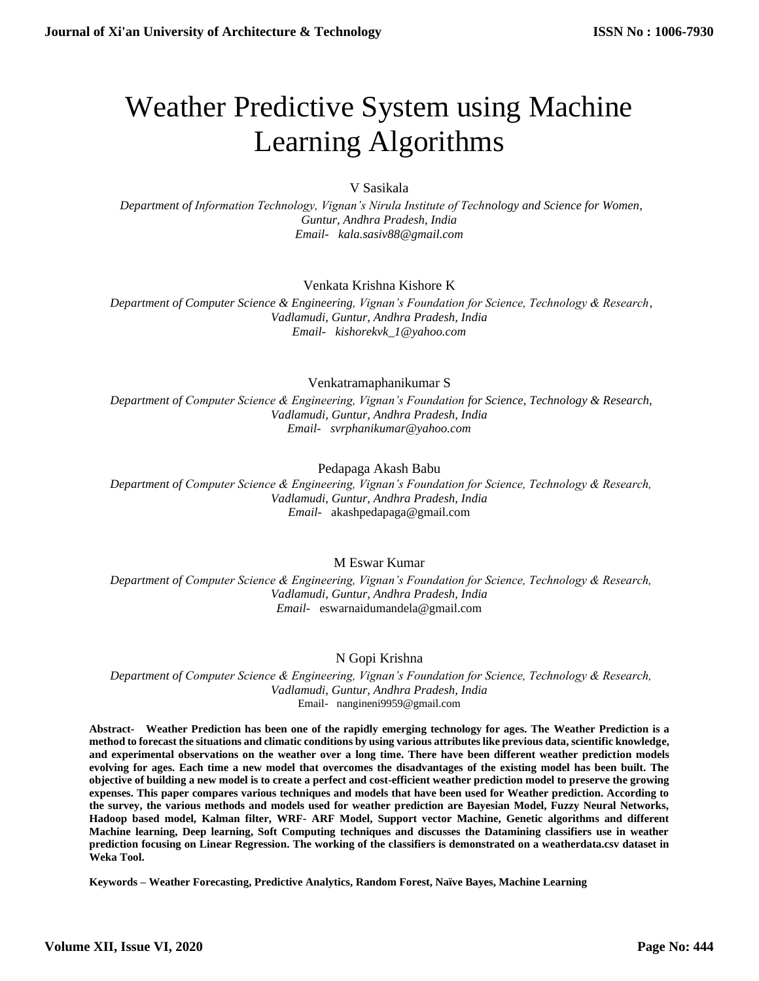# Weather Predictive System using Machine Learning Algorithms

V Sasikala

 *Department of Information Technology, Vignan's Nirula Institute of Technology and Science for Women, Guntur, Andhra Pradesh, India Email- kala.sasiv88@gmail.com*

# Venkata Krishna Kishore K

 *Department of Computer Science & Engineering, Vignan's Foundation for Science, Technology & Research, Vadlamudi, Guntur, Andhra Pradesh, India Email- kishorekvk\_1@yahoo.com*

Venkatramaphanikumar S

 *Department of Computer Science & Engineering, Vignan's Foundation for Science, Technology & Research, Vadlamudi, Guntur, Andhra Pradesh, India Email- svrphanikumar@yahoo.com*

## Pedapaga Akash Babu

 *Department of Computer Science & Engineering, Vignan's Foundation for Science, Technology & Research, Vadlamudi, Guntur, Andhra Pradesh, India Email-* akashpedapaga@gmail.com

# M Eswar Kumar

 *Department of Computer Science & Engineering, Vignan's Foundation for Science, Technology & Research, Vadlamudi, Guntur, Andhra Pradesh, India Email-* eswarnaidumandela@gmail.com

# N Gopi Krishna

 *Department of Computer Science & Engineering, Vignan's Foundation for Science, Technology & Research, Vadlamudi, Guntur, Andhra Pradesh, India* Email- nangineni9959@gmail.com

**Abstract- Weather Prediction has been one of the rapidly emerging technology for ages. The Weather Prediction is a method to forecast the situations and climatic conditions by using various attributes like previous data, scientific knowledge, and experimental observations on the weather over a long time. There have been different weather prediction models evolving for ages. Each time a new model that overcomes the disadvantages of the existing model has been built. The objective of building a new model is to create a perfect and cost-efficient weather prediction model to preserve the growing expenses. This paper compares various techniques and models that have been used for Weather prediction. According to the survey, the various methods and models used for weather prediction are Bayesian Model, Fuzzy Neural Networks, Hadoop based model, Kalman filter, WRF- ARF Model, Support vector Machine, Genetic algorithms and different Machine learning, Deep learning, Soft Computing techniques and discusses the Datamining classifiers use in weather prediction focusing on Linear Regression. The working of the classifiers is demonstrated on a weatherdata.csv dataset in Weka Tool.**

**Keywords – Weather Forecasting, Predictive Analytics, Random Forest, Naïve Bayes, Machine Learning**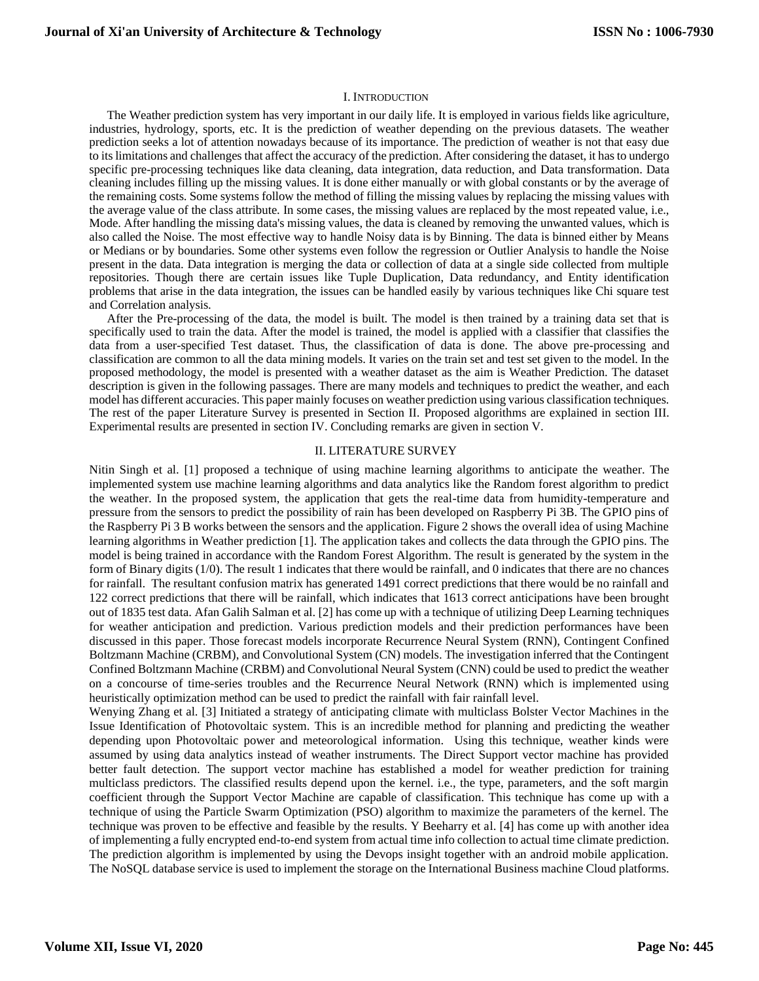#### I. INTRODUCTION

The Weather prediction system has very important in our daily life. It is employed in various fields like agriculture, industries, hydrology, sports, etc. It is the prediction of weather depending on the previous datasets. The weather prediction seeks a lot of attention nowadays because of its importance. The prediction of weather is not that easy due to its limitations and challenges that affect the accuracy of the prediction. After considering the dataset, it has to undergo specific pre-processing techniques like data cleaning, data integration, data reduction, and Data transformation. Data cleaning includes filling up the missing values. It is done either manually or with global constants or by the average of the remaining costs. Some systems follow the method of filling the missing values by replacing the missing values with the average value of the class attribute. In some cases, the missing values are replaced by the most repeated value, i.e., Mode. After handling the missing data's missing values, the data is cleaned by removing the unwanted values, which is also called the Noise. The most effective way to handle Noisy data is by Binning. The data is binned either by Means or Medians or by boundaries. Some other systems even follow the regression or Outlier Analysis to handle the Noise present in the data. Data integration is merging the data or collection of data at a single side collected from multiple repositories. Though there are certain issues like Tuple Duplication, Data redundancy, and Entity identification problems that arise in the data integration, the issues can be handled easily by various techniques like Chi square test and Correlation analysis.

After the Pre-processing of the data, the model is built. The model is then trained by a training data set that is specifically used to train the data. After the model is trained, the model is applied with a classifier that classifies the data from a user-specified Test dataset. Thus, the classification of data is done. The above pre-processing and classification are common to all the data mining models. It varies on the train set and test set given to the model. In the proposed methodology, the model is presented with a weather dataset as the aim is Weather Prediction. The dataset description is given in the following passages. There are many models and techniques to predict the weather, and each model has different accuracies. This paper mainly focuses on weather prediction using various classification techniques. The rest of the paper Literature Survey is presented in Section II. Proposed algorithms are explained in section III. Experimental results are presented in section IV. Concluding remarks are given in section V.

#### II. LITERATURE SURVEY

Nitin Singh et al. [1] proposed a technique of using machine learning algorithms to anticipate the weather. The implemented system use machine learning algorithms and data analytics like the Random forest algorithm to predict the weather. In the proposed system, the application that gets the real-time data from humidity-temperature and pressure from the sensors to predict the possibility of rain has been developed on Raspberry Pi 3B. The GPIO pins of the Raspberry Pi 3 B works between the sensors and the application. Figure 2 shows the overall idea of using Machine learning algorithms in Weather prediction [1]. The application takes and collects the data through the GPIO pins. The model is being trained in accordance with the Random Forest Algorithm. The result is generated by the system in the form of Binary digits (1/0). The result 1 indicates that there would be rainfall, and 0 indicates that there are no chances for rainfall. The resultant confusion matrix has generated 1491 correct predictions that there would be no rainfall and 122 correct predictions that there will be rainfall, which indicates that 1613 correct anticipations have been brought out of 1835 test data. Afan Galih Salman et al. [2] has come up with a technique of utilizing Deep Learning techniques for weather anticipation and prediction. Various prediction models and their prediction performances have been discussed in this paper. Those forecast models incorporate Recurrence Neural System (RNN), Contingent Confined Boltzmann Machine (CRBM), and Convolutional System (CN) models. The investigation inferred that the Contingent Confined Boltzmann Machine (CRBM) and Convolutional Neural System (CNN) could be used to predict the weather on a concourse of time-series troubles and the Recurrence Neural Network (RNN) which is implemented using heuristically optimization method can be used to predict the rainfall with fair rainfall level.

Wenying Zhang et al. [3] Initiated a strategy of anticipating climate with multiclass Bolster Vector Machines in the Issue Identification of Photovoltaic system. This is an incredible method for planning and predicting the weather depending upon Photovoltaic power and meteorological information. Using this technique, weather kinds were assumed by using data analytics instead of weather instruments. The Direct Support vector machine has provided better fault detection. The support vector machine has established a model for weather prediction for training multiclass predictors. The classified results depend upon the kernel. i.e., the type, parameters, and the soft margin coefficient through the Support Vector Machine are capable of classification. This technique has come up with a technique of using the Particle Swarm Optimization (PSO) algorithm to maximize the parameters of the kernel. The technique was proven to be effective and feasible by the results. Y Beeharry et al. [4] has come up with another idea of implementing a fully encrypted end-to-end system from actual time info collection to actual time climate prediction. The prediction algorithm is implemented by using the Devops insight together with an android mobile application. The NoSQL database service is used to implement the storage on the International Business machine Cloud platforms.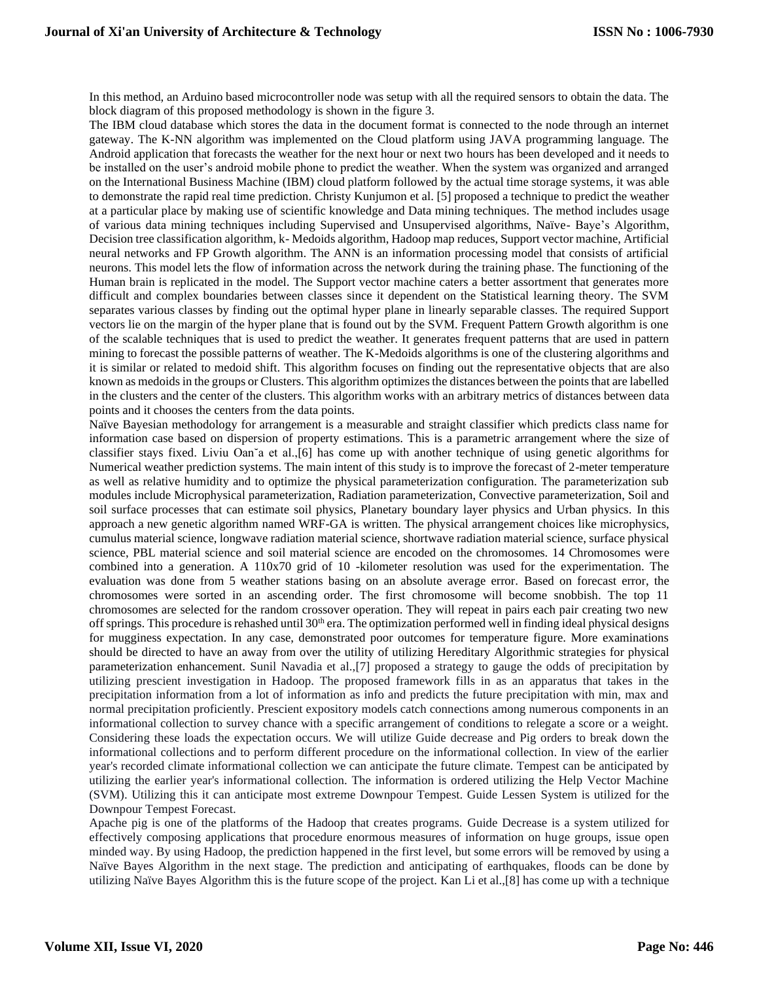In this method, an Arduino based microcontroller node was setup with all the required sensors to obtain the data. The block diagram of this proposed methodology is shown in the figure 3.

The IBM cloud database which stores the data in the document format is connected to the node through an internet gateway. The K-NN algorithm was implemented on the Cloud platform using JAVA programming language. The Android application that forecasts the weather for the next hour or next two hours has been developed and it needs to be installed on the user's android mobile phone to predict the weather. When the system was organized and arranged on the International Business Machine (IBM) cloud platform followed by the actual time storage systems, it was able to demonstrate the rapid real time prediction. Christy Kunjumon et al. [5] proposed a technique to predict the weather at a particular place by making use of scientific knowledge and Data mining techniques. The method includes usage of various data mining techniques including Supervised and Unsupervised algorithms, Naïve- Baye's Algorithm, Decision tree classification algorithm, k- Medoids algorithm, Hadoop map reduces, Support vector machine, Artificial neural networks and FP Growth algorithm. The ANN is an information processing model that consists of artificial neurons. This model lets the flow of information across the network during the training phase. The functioning of the Human brain is replicated in the model. The Support vector machine caters a better assortment that generates more difficult and complex boundaries between classes since it dependent on the Statistical learning theory. The SVM separates various classes by finding out the optimal hyper plane in linearly separable classes. The required Support vectors lie on the margin of the hyper plane that is found out by the SVM. Frequent Pattern Growth algorithm is one of the scalable techniques that is used to predict the weather. It generates frequent patterns that are used in pattern mining to forecast the possible patterns of weather. The K-Medoids algorithms is one of the clustering algorithms and it is similar or related to medoid shift. This algorithm focuses on finding out the representative objects that are also known as medoids in the groups or Clusters. This algorithm optimizes the distances between the points that are labelled in the clusters and the center of the clusters. This algorithm works with an arbitrary metrics of distances between data points and it chooses the centers from the data points.

Naïve Bayesian methodology for arrangement is a measurable and straight classifier which predicts class name for information case based on dispersion of property estimations. This is a parametric arrangement where the size of classifier stays fixed. Liviu Oan˘a et al.,[6] has come up with another technique of using genetic algorithms for Numerical weather prediction systems. The main intent of this study is to improve the forecast of 2-meter temperature as well as relative humidity and to optimize the physical parameterization configuration. The parameterization sub modules include Microphysical parameterization, Radiation parameterization, Convective parameterization, Soil and soil surface processes that can estimate soil physics, Planetary boundary layer physics and Urban physics. In this approach a new genetic algorithm named WRF-GA is written. The physical arrangement choices like microphysics, cumulus material science, longwave radiation material science, shortwave radiation material science, surface physical science, PBL material science and soil material science are encoded on the chromosomes. 14 Chromosomes were combined into a generation. A 110x70 grid of 10 -kilometer resolution was used for the experimentation. The evaluation was done from 5 weather stations basing on an absolute average error. Based on forecast error, the chromosomes were sorted in an ascending order. The first chromosome will become snobbish. The top 11 chromosomes are selected for the random crossover operation. They will repeat in pairs each pair creating two new off springs. This procedure is rehashed until  $30<sup>th</sup>$  era. The optimization performed well in finding ideal physical designs for mugginess expectation. In any case, demonstrated poor outcomes for temperature figure. More examinations should be directed to have an away from over the utility of utilizing Hereditary Algorithmic strategies for physical parameterization enhancement. Sunil Navadia et al.,[7] proposed a strategy to gauge the odds of precipitation by utilizing prescient investigation in Hadoop. The proposed framework fills in as an apparatus that takes in the precipitation information from a lot of information as info and predicts the future precipitation with min, max and normal precipitation proficiently. Prescient expository models catch connections among numerous components in an informational collection to survey chance with a specific arrangement of conditions to relegate a score or a weight. Considering these loads the expectation occurs. We will utilize Guide decrease and Pig orders to break down the informational collections and to perform different procedure on the informational collection. In view of the earlier year's recorded climate informational collection we can anticipate the future climate. Tempest can be anticipated by utilizing the earlier year's informational collection. The information is ordered utilizing the Help Vector Machine (SVM). Utilizing this it can anticipate most extreme Downpour Tempest. Guide Lessen System is utilized for the Downpour Tempest Forecast.

Apache pig is one of the platforms of the Hadoop that creates programs. Guide Decrease is a system utilized for effectively composing applications that procedure enormous measures of information on huge groups, issue open minded way. By using Hadoop, the prediction happened in the first level, but some errors will be removed by using a Naïve Bayes Algorithm in the next stage. The prediction and anticipating of earthquakes, floods can be done by utilizing Naïve Bayes Algorithm this is the future scope of the project. Kan Li et al.,[8] has come up with a technique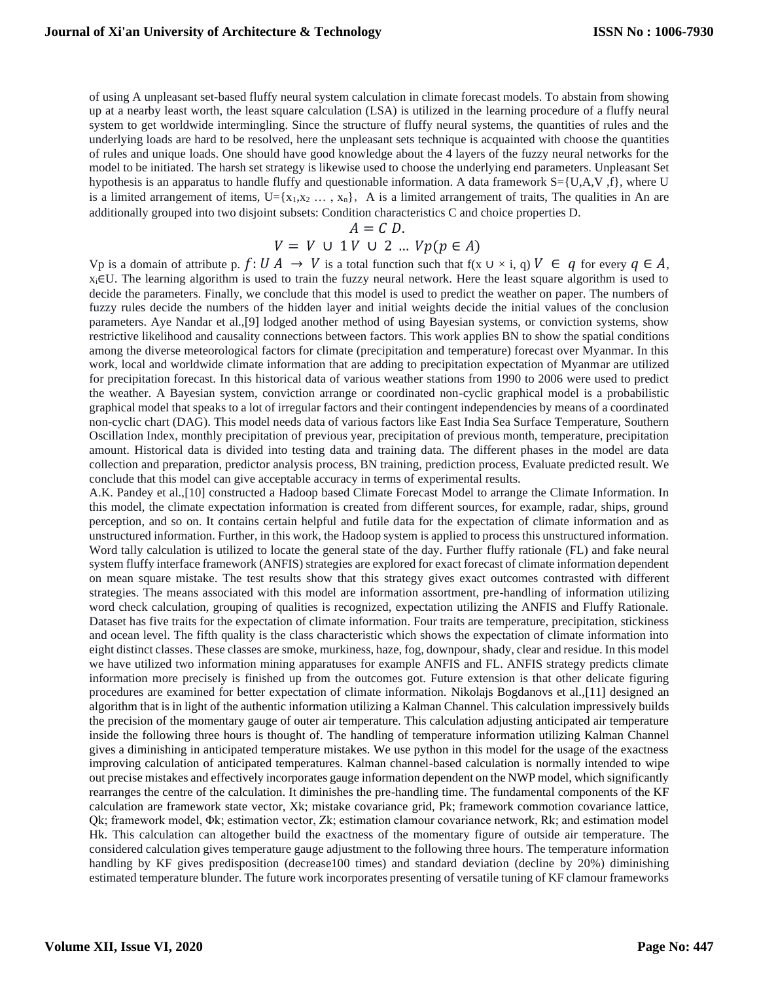of using A unpleasant set-based fluffy neural system calculation in climate forecast models. To abstain from showing up at a nearby least worth, the least square calculation (LSA) is utilized in the learning procedure of a fluffy neural system to get worldwide intermingling. Since the structure of fluffy neural systems, the quantities of rules and the underlying loads are hard to be resolved, here the unpleasant sets technique is acquainted with choose the quantities of rules and unique loads. One should have good knowledge about the 4 layers of the fuzzy neural networks for the model to be initiated. The harsh set strategy is likewise used to choose the underlying end parameters. Unpleasant Set hypothesis is an apparatus to handle fluffy and questionable information. A data framework S={U,A,V ,f}, where U is a limited arrangement of items,  $U = \{x_1, x_2, ..., x_n\}$ , A is a limited arrangement of traits, The qualities in An are additionally grouped into two disjoint subsets: Condition characteristics C and choice properties D.

$$
A = C D.
$$
  

$$
V = V \cup 1 V \cup 2 ... V p(p \in A)
$$

Vp is a domain of attribute p.  $f: U A \to V$  is a total function such that  $f(x \cup x \cup x)$ ,  $q \cup V \in q$  for every  $q \in A$ , xi∈U. The learning algorithm is used to train the fuzzy neural network. Here the least square algorithm is used to decide the parameters. Finally, we conclude that this model is used to predict the weather on paper. The numbers of fuzzy rules decide the numbers of the hidden layer and initial weights decide the initial values of the conclusion parameters. Aye Nandar et al.,[9] lodged another method of using Bayesian systems, or conviction systems, show restrictive likelihood and causality connections between factors. This work applies BN to show the spatial conditions among the diverse meteorological factors for climate (precipitation and temperature) forecast over Myanmar. In this work, local and worldwide climate information that are adding to precipitation expectation of Myanmar are utilized for precipitation forecast. In this historical data of various weather stations from 1990 to 2006 were used to predict the weather. A Bayesian system, conviction arrange or coordinated non-cyclic graphical model is a probabilistic graphical model that speaks to a lot of irregular factors and their contingent independencies by means of a coordinated non-cyclic chart (DAG). This model needs data of various factors like East India Sea Surface Temperature, Southern Oscillation Index, monthly precipitation of previous year, precipitation of previous month, temperature, precipitation amount. Historical data is divided into testing data and training data. The different phases in the model are data collection and preparation, predictor analysis process, BN training, prediction process, Evaluate predicted result. We conclude that this model can give acceptable accuracy in terms of experimental results.

A.K. Pandey et al.,[10] constructed a Hadoop based Climate Forecast Model to arrange the Climate Information. In this model, the climate expectation information is created from different sources, for example, radar, ships, ground perception, and so on. It contains certain helpful and futile data for the expectation of climate information and as unstructured information. Further, in this work, the Hadoop system is applied to process this unstructured information. Word tally calculation is utilized to locate the general state of the day. Further fluffy rationale (FL) and fake neural system fluffy interface framework (ANFIS) strategies are explored for exact forecast of climate information dependent on mean square mistake. The test results show that this strategy gives exact outcomes contrasted with different strategies. The means associated with this model are information assortment, pre-handling of information utilizing word check calculation, grouping of qualities is recognized, expectation utilizing the ANFIS and Fluffy Rationale. Dataset has five traits for the expectation of climate information. Four traits are temperature, precipitation, stickiness and ocean level. The fifth quality is the class characteristic which shows the expectation of climate information into eight distinct classes. These classes are smoke, murkiness, haze, fog, downpour, shady, clear and residue. In this model we have utilized two information mining apparatuses for example ANFIS and FL. ANFIS strategy predicts climate information more precisely is finished up from the outcomes got. Future extension is that other delicate figuring procedures are examined for better expectation of climate information. Nikolajs Bogdanovs et al.,[11] designed an algorithm that is in light of the authentic information utilizing a Kalman Channel. This calculation impressively builds the precision of the momentary gauge of outer air temperature. This calculation adjusting anticipated air temperature inside the following three hours is thought of. The handling of temperature information utilizing Kalman Channel gives a diminishing in anticipated temperature mistakes. We use python in this model for the usage of the exactness improving calculation of anticipated temperatures. Kalman channel-based calculation is normally intended to wipe out precise mistakes and effectively incorporates gauge information dependent on the NWP model, which significantly rearranges the centre of the calculation. It diminishes the pre-handling time. The fundamental components of the KF calculation are framework state vector, Xk; mistake covariance grid, Pk; framework commotion covariance lattice, Qk; framework model, Φk; estimation vector, Zk; estimation clamour covariance network, Rk; and estimation model Hk. This calculation can altogether build the exactness of the momentary figure of outside air temperature. The considered calculation gives temperature gauge adjustment to the following three hours. The temperature information handling by KF gives predisposition (decrease100 times) and standard deviation (decline by 20%) diminishing estimated temperature blunder. The future work incorporates presenting of versatile tuning of KF clamour frameworks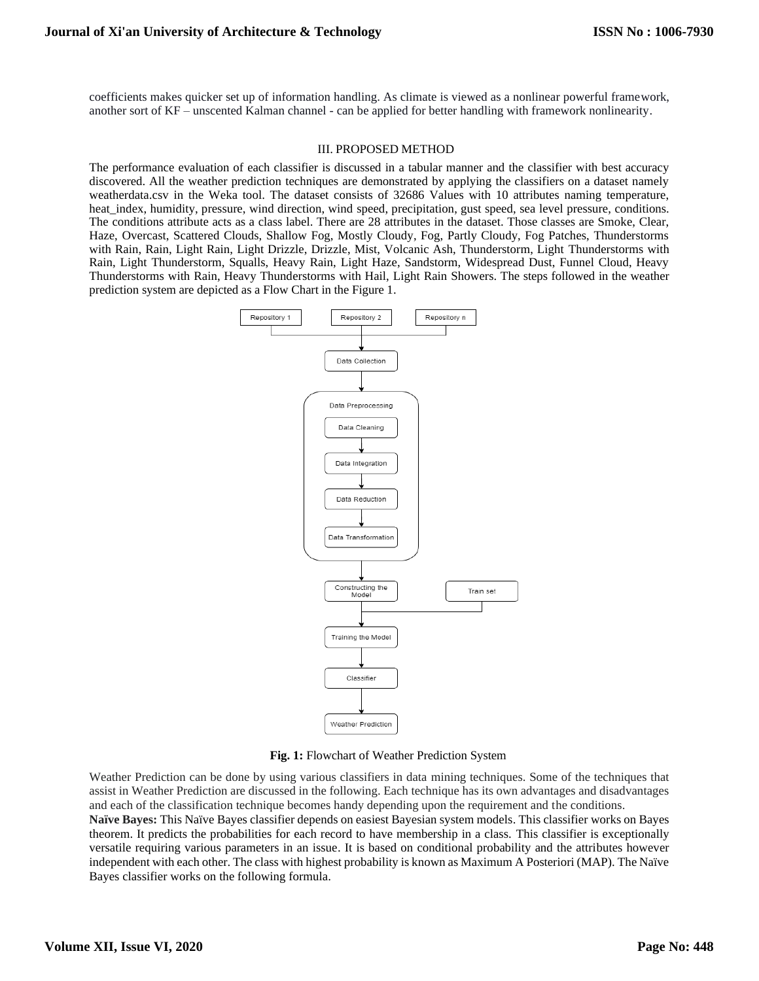coefficients makes quicker set up of information handling. As climate is viewed as a nonlinear powerful framework, another sort of KF – unscented Kalman channel - can be applied for better handling with framework nonlinearity.

#### III. PROPOSED METHOD

The performance evaluation of each classifier is discussed in a tabular manner and the classifier with best accuracy discovered. All the weather prediction techniques are demonstrated by applying the classifiers on a dataset namely weatherdata.csv in the Weka tool. The dataset consists of 32686 Values with 10 attributes naming temperature, heat index, humidity, pressure, wind direction, wind speed, precipitation, gust speed, sea level pressure, conditions. The conditions attribute acts as a class label. There are 28 attributes in the dataset. Those classes are Smoke, Clear, Haze, Overcast, Scattered Clouds, Shallow Fog, Mostly Cloudy, Fog, Partly Cloudy, Fog Patches, Thunderstorms with Rain, Rain, Light Rain, Light Drizzle, Drizzle, Mist, Volcanic Ash, Thunderstorm, Light Thunderstorms with Rain, Light Thunderstorm, Squalls, Heavy Rain, Light Haze, Sandstorm, Widespread Dust, Funnel Cloud, Heavy Thunderstorms with Rain, Heavy Thunderstorms with Hail, Light Rain Showers. The steps followed in the weather prediction system are depicted as a Flow Chart in the Figure 1.



**Fig. 1:** Flowchart of Weather Prediction System

Weather Prediction can be done by using various classifiers in data mining techniques. Some of the techniques that assist in Weather Prediction are discussed in the following. Each technique has its own advantages and disadvantages and each of the classification technique becomes handy depending upon the requirement and the conditions.

**Naïve Bayes:** This Naïve Bayes classifier depends on easiest Bayesian system models. This classifier works on Bayes theorem. It predicts the probabilities for each record to have membership in a class. This classifier is exceptionally versatile requiring various parameters in an issue. It is based on conditional probability and the attributes however independent with each other. The class with highest probability is known as Maximum A Posteriori (MAP). The Naïve Bayes classifier works on the following formula.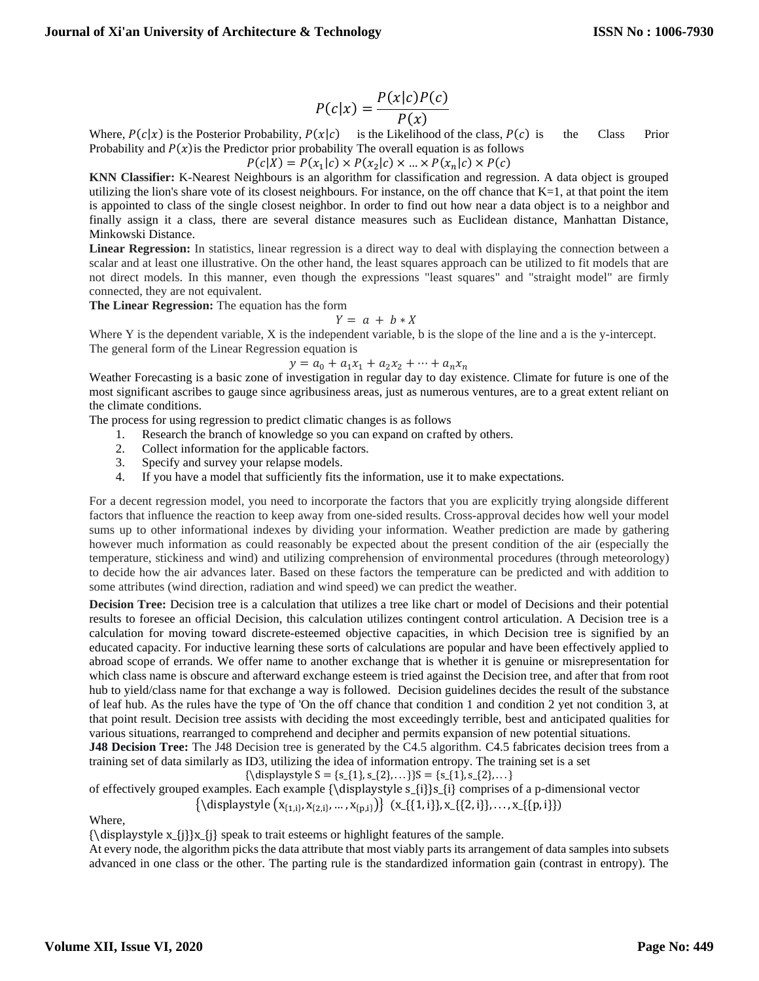$$
P(c|x) = \frac{P(x|c)P(c)}{P(x)}
$$

Where,  $P(c|x)$  is the Posterior Probability,  $P(x|c)$  is the Likelihood of the class,  $P(c)$  is the Class Prior Probability and  $P(x)$  is the Predictor prior probability The overall equation is as follows

 $P(c|X) = P(x_1|c) \times P(x_2|c) \times ... \times P(x_n|c) \times P(c)$ 

**KNN Classifier:** K-Nearest Neighbours is an algorithm for classification and regression. A data object is grouped utilizing the lion's share vote of its closest neighbours. For instance, on the off chance that  $K=1$ , at that point the item is appointed to class of the single closest neighbor. In order to find out how near a data object is to a neighbor and finally assign it a class, there are several distance measures such as Euclidean distance, Manhattan Distance, Minkowski Distance.

**Linear Regression:** In statistics, linear regression is a direct way to deal with displaying the connection between a scalar and at least one illustrative. On the other hand, the least squares approach can be utilized to fit models that are not direct models. In this manner, even though the expressions "least squares" and "straight model" are firmly connected, they are not equivalent.

**The Linear Regression:** The equation has the form

 $Y = a + b * X$ 

Where Y is the dependent variable, X is the independent variable, b is the slope of the line and a is the y-intercept. The general form of the Linear Regression equation is

 $y = a_0 + a_1 x_1 + a_2 x_2 + \dots + a_n x_n$ 

Weather Forecasting is a basic zone of investigation in regular day to day existence. Climate for future is one of the most significant ascribes to gauge since agribusiness areas, just as numerous ventures, are to a great extent reliant on the climate conditions.

The process for using regression to predict climatic changes is as follows

- 1. Research the branch of knowledge so you can expand on crafted by others.
- 2. Collect information for the applicable factors.
- 3. Specify and survey your relapse models.
- 4. If you have a model that sufficiently fits the information, use it to make expectations.

For a decent regression model, you need to incorporate the factors that you are explicitly trying alongside different factors that influence the reaction to keep away from one-sided results. Cross-approval decides how well your model sums up to other informational indexes by dividing your information. Weather prediction are made by gathering however much information as could reasonably be expected about the present condition of the air (especially the temperature, stickiness and wind) and utilizing comprehension of environmental procedures (through meteorology) to decide how the air advances later. Based on these factors the temperature can be predicted and with addition to some attributes (wind direction, radiation and wind speed) we can predict the weather.

**Decision Tree:** Decision tree is a calculation that utilizes a tree like chart or model of Decisions and their potential results to foresee an official Decision, this calculation utilizes contingent control articulation. A Decision tree is a calculation for moving toward discrete-esteemed objective capacities, in which Decision tree is signified by an educated capacity. For inductive learning these sorts of calculations are popular and have been effectively applied to abroad scope of errands. We offer name to another exchange that is whether it is genuine or misrepresentation for which class name is obscure and afterward exchange esteem is tried against the Decision tree, and after that from root hub to yield/class name for that exchange a way is followed. Decision guidelines decides the result of the substance of leaf hub. As the rules have the type of 'On the off chance that condition 1 and condition 2 yet not condition 3, at that point result. Decision tree assists with deciding the most exceedingly terrible, best and anticipated qualities for various situations, rearranged to comprehend and decipher and permits expansion of new potential situations.

**J48 Decision Tree:** The J48 Decision tree is generated by the C4.5 algorithm. C4.5 fabricates decision trees from a training set of data similarly as ID3, utilizing the idea of information entropy. The training set is a set

{\displaystyle  $S = \{s_{1}, s_{2}, \ldots\}$ }S = {s\_{1}, s\_{2}, ... }

of effectively grouped examples. Each example {\displaystyle s\_{i}}s\_{i} comprises of a p-dimensional vector  $\{\langle \text{display } (x_{\{1,i\}}, x_{\{2,i\}}, ..., x_{\{p,i\}}) \} \; (x_{\{\{1,i\}\}, x_{\{\{2,i\}\}, ..., x_{\{\{p,i\}\}})$ 

Where,

 ${\displaystyle {\Delta x_{j}}x_{j}$  speak to trait esteems or highlight features of the sample.

At every node, the algorithm picks the data attribute that most viably parts its arrangement of data samples into subsets advanced in one class or the other. The parting rule is the standardized information gain (contrast in entropy). The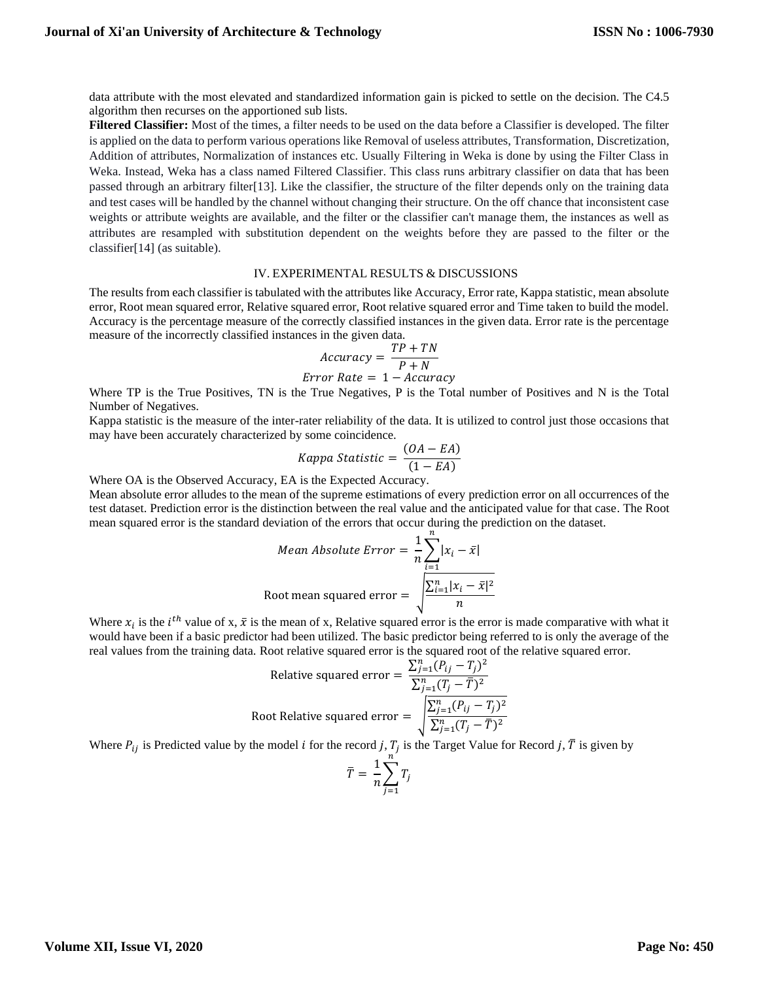data attribute with the most elevated and standardized information gain is picked to settle on the decision. The C4.5 algorithm then recurses on the apportioned sub lists.

**Filtered Classifier:** Most of the times, a filter needs to be used on the data before a Classifier is developed. The filter is applied on the data to perform various operations like Removal of useless attributes, Transformation, Discretization, Addition of attributes, Normalization of instances etc. Usually Filtering in Weka is done by using the Filter Class in Weka. Instead, Weka has a class named Filtered Classifier. This class runs arbitrary classifier on data that has been passed through an arbitrary filter[13]. Like the classifier, the structure of the filter depends only on the training data and test cases will be handled by the channel without changing their structure. On the off chance that inconsistent case weights or attribute weights are available, and the filter or the classifier can't manage them, the instances as well as attributes are resampled with substitution dependent on the weights before they are passed to the filter or the classifier[14] (as suitable).

#### IV. EXPERIMENTAL RESULTS & DISCUSSIONS

The results from each classifier is tabulated with the attributes like Accuracy, Error rate, Kappa statistic, mean absolute error, Root mean squared error, Relative squared error, Root relative squared error and Time taken to build the model. Accuracy is the percentage measure of the correctly classified instances in the given data. Error rate is the percentage measure of the incorrectly classified instances in the given data.

$$
Accuracy = \frac{TP + TN}{P + N}
$$
  

$$
Error Rate = 1 - Accuracy
$$

Where TP is the True Positives, TN is the True Negatives, P is the Total number of Positives and N is the Total Number of Negatives.

Kappa statistic is the measure of the inter-rater reliability of the data. It is utilized to control just those occasions that may have been accurately characterized by some coincidence.

Kappa Statistic = 
$$
\frac{(OA - EA)}{(1 - EA)}
$$

Where OA is the Observed Accuracy, EA is the Expected Accuracy.

Mean absolute error alludes to the mean of the supreme estimations of every prediction error on all occurrences of the test dataset. Prediction error is the distinction between the real value and the anticipated value for that case. The Root mean squared error is the standard deviation of the errors that occur during the prediction on the dataset.

Mean Absolute Error = 
$$
\frac{1}{n} \sum_{i=1}^{n} |x_i - \bar{x}|
$$
  
Root mean squared error = 
$$
\sqrt{\frac{\sum_{i=1}^{n} |x_i - \bar{x}|^2}{n}}
$$

Where  $x_i$  is the *i*<sup>th</sup> value of x,  $\bar{x}$  is the mean of x, Relative squared error is the error is made comparative with what it would have been if a basic predictor had been utilized. The basic predictor being referred to is only the average of the real values from the training data. Root relative squared error is the squared root of the relative squared error.

Relative squared error = 
$$
\frac{\sum_{j=1}^{n} (P_{ij} - T_j)^2}{\sum_{j=1}^{n} (T_j - \overline{T})^2}
$$
  
Root Relative squared error = 
$$
\sqrt{\frac{\sum_{j=1}^{n} (P_{ij} - T_j)^2}{\sum_{j=1}^{n} (T_j - \overline{T})^2}}
$$

Where  $P_{ij}$  is Predicted value by the model *i* for the record *j*,  $T_j$  is the Target Value for Record *j*,  $\overline{T}$  is given by

$$
\bar{T} = \frac{1}{n} \sum_{j=1}^{n} T_j
$$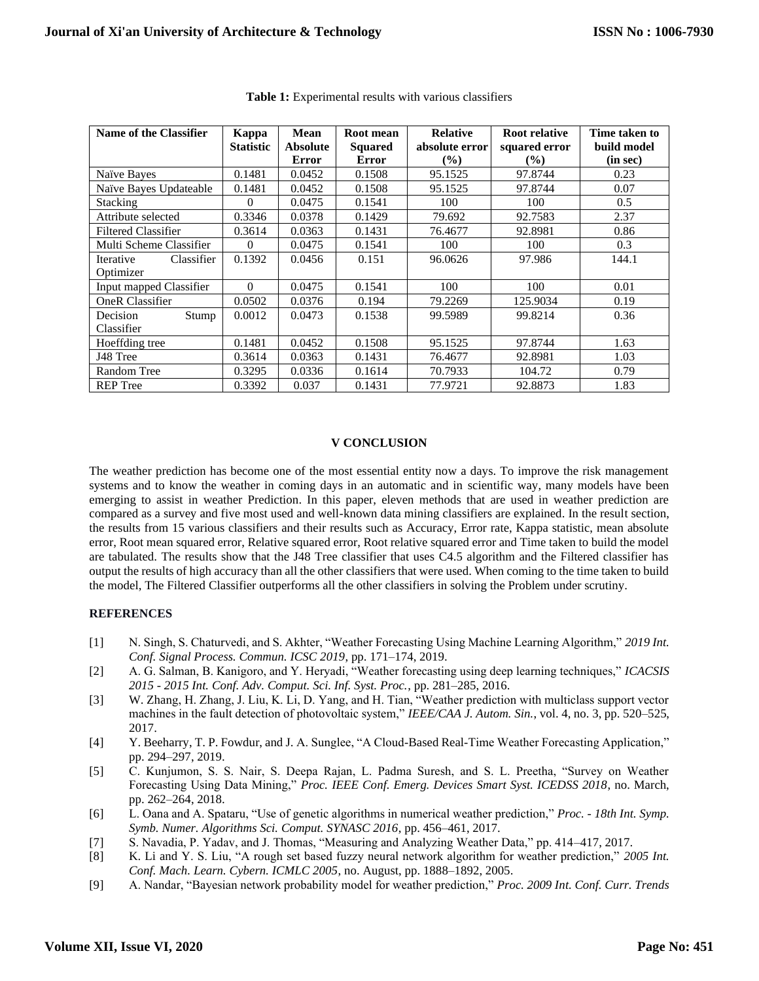| <b>Name of the Classifier</b> | Kappa            | <b>Mean</b>     | Root mean      | <b>Relative</b> | Root relative | Time taken to |
|-------------------------------|------------------|-----------------|----------------|-----------------|---------------|---------------|
|                               | <b>Statistic</b> | <b>Absolute</b> | <b>Squared</b> | absolute error  | squared error | build model   |
|                               |                  | Error           | <b>Error</b>   | $($ %)          | $\frac{9}{6}$ | (in sec)      |
| Naïve Bayes                   | 0.1481           | 0.0452          | 0.1508         | 95.1525         | 97.8744       | 0.23          |
| Naïve Bayes Updateable        | 0.1481           | 0.0452          | 0.1508         | 95.1525         | 97.8744       | 0.07          |
| <b>Stacking</b>               | $\Omega$         | 0.0475          | 0.1541         | 100             | 100           | 0.5           |
| Attribute selected            | 0.3346           | 0.0378          | 0.1429         | 79.692          | 92.7583       | 2.37          |
| <b>Filtered Classifier</b>    | 0.3614           | 0.0363          | 0.1431         | 76.4677         | 92.8981       | 0.86          |
| Multi Scheme Classifier       | $\Omega$         | 0.0475          | 0.1541         | 100             | 100           | 0.3           |
| Classifier<br>Iterative       | 0.1392           | 0.0456          | 0.151          | 96.0626         | 97.986        | 144.1         |
| Optimizer                     |                  |                 |                |                 |               |               |
| Input mapped Classifier       | $\Omega$         | 0.0475          | 0.1541         | 100             | 100           | 0.01          |
| <b>OneR</b> Classifier        | 0.0502           | 0.0376          | 0.194          | 79.2269         | 125.9034      | 0.19          |
| Stump<br>Decision             | 0.0012           | 0.0473          | 0.1538         | 99.5989         | 99.8214       | 0.36          |
| Classifier                    |                  |                 |                |                 |               |               |
| Hoeffding tree                | 0.1481           | 0.0452          | 0.1508         | 95.1525         | 97.8744       | 1.63          |
| J48 Tree                      | 0.3614           | 0.0363          | 0.1431         | 76.4677         | 92.8981       | 1.03          |
| <b>Random Tree</b>            | 0.3295           | 0.0336          | 0.1614         | 70.7933         | 104.72        | 0.79          |
| <b>REP</b> Tree               | 0.3392           | 0.037           | 0.1431         | 77.9721         | 92.8873       | 1.83          |

**Table 1:** Experimental results with various classifiers

### **V CONCLUSION**

The weather prediction has become one of the most essential entity now a days. To improve the risk management systems and to know the weather in coming days in an automatic and in scientific way, many models have been emerging to assist in weather Prediction. In this paper, eleven methods that are used in weather prediction are compared as a survey and five most used and well-known data mining classifiers are explained. In the result section, the results from 15 various classifiers and their results such as Accuracy, Error rate, Kappa statistic, mean absolute error, Root mean squared error, Relative squared error, Root relative squared error and Time taken to build the model are tabulated. The results show that the J48 Tree classifier that uses C4.5 algorithm and the Filtered classifier has output the results of high accuracy than all the other classifiers that were used. When coming to the time taken to build the model, The Filtered Classifier outperforms all the other classifiers in solving the Problem under scrutiny.

## **REFERENCES**

- [1] N. Singh, S. Chaturvedi, and S. Akhter, "Weather Forecasting Using Machine Learning Algorithm," *2019 Int. Conf. Signal Process. Commun. ICSC 2019*, pp. 171–174, 2019.
- [2] A. G. Salman, B. Kanigoro, and Y. Heryadi, "Weather forecasting using deep learning techniques," *ICACSIS 2015 - 2015 Int. Conf. Adv. Comput. Sci. Inf. Syst. Proc.*, pp. 281–285, 2016.
- [3] W. Zhang, H. Zhang, J. Liu, K. Li, D. Yang, and H. Tian, "Weather prediction with multiclass support vector machines in the fault detection of photovoltaic system," *IEEE/CAA J. Autom. Sin.*, vol. 4, no. 3, pp. 520–525, 2017.
- [4] Y. Beeharry, T. P. Fowdur, and J. A. Sunglee, "A Cloud-Based Real-Time Weather Forecasting Application," pp. 294–297, 2019.
- [5] C. Kunjumon, S. S. Nair, S. Deepa Rajan, L. Padma Suresh, and S. L. Preetha, "Survey on Weather Forecasting Using Data Mining," *Proc. IEEE Conf. Emerg. Devices Smart Syst. ICEDSS 2018*, no. March, pp. 262–264, 2018.
- [6] L. Oana and A. Spataru, "Use of genetic algorithms in numerical weather prediction," *Proc. - 18th Int. Symp. Symb. Numer. Algorithms Sci. Comput. SYNASC 2016*, pp. 456–461, 2017.
- [7] S. Navadia, P. Yadav, and J. Thomas, "Measuring and Analyzing Weather Data," pp. 414–417, 2017.
- [8] K. Li and Y. S. Liu, "A rough set based fuzzy neural network algorithm for weather prediction," *2005 Int. Conf. Mach. Learn. Cybern. ICMLC 2005*, no. August, pp. 1888–1892, 2005.
- [9] A. Nandar, "Bayesian network probability model for weather prediction," *Proc. 2009 Int. Conf. Curr. Trends*